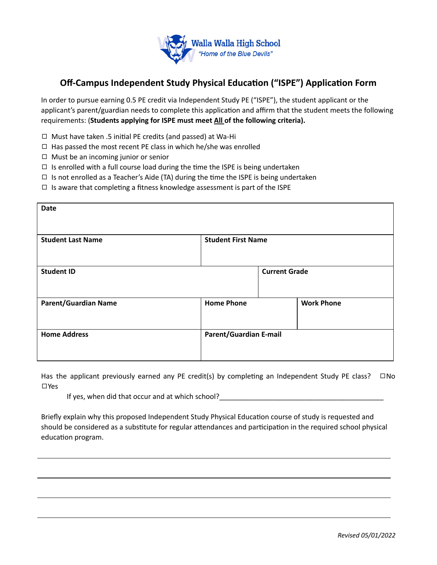

## **Off-Campus Independent Study Physical Education ("ISPE") Application Form**

In order to pursue earning 0.5 PE credit via Independent Study PE ("ISPE"), the student applicant or the applicant's parent/guardian needs to complete this application and affirm that the student meets the following requirements: (**Students applying for ISPE must meet All of the following criteria).**

- $\Box$  Must have taken .5 initial PE credits (and passed) at Wa-Hi
- $\Box$  Has passed the most recent PE class in which he/she was enrolled
- ◻ Must be an incoming junior or senior
- $\Box$  Is enrolled with a full course load during the time the ISPE is being undertaken
- $\Box$  Is not enrolled as a Teacher's Aide (TA) during the time the ISPE is being undertaken
- $\Box$  Is aware that completing a fitness knowledge assessment is part of the ISPE

| <b>Date</b>                 |                               |                      |                   |
|-----------------------------|-------------------------------|----------------------|-------------------|
| <b>Student Last Name</b>    | <b>Student First Name</b>     |                      |                   |
| <b>Student ID</b>           |                               | <b>Current Grade</b> |                   |
| <b>Parent/Guardian Name</b> | <b>Home Phone</b>             |                      | <b>Work Phone</b> |
| <b>Home Address</b>         | <b>Parent/Guardian E-mail</b> |                      |                   |

Has the applicant previously earned any PE credit(s) by completing an Independent Study PE class?  $\square$ No ◻Yes

If yes, when did that occur and at which school?

Briefly explain why this proposed Independent Study Physical Education course of study is requested and should be considered as a substitute for regular attendances and participation in the required school physical education program.